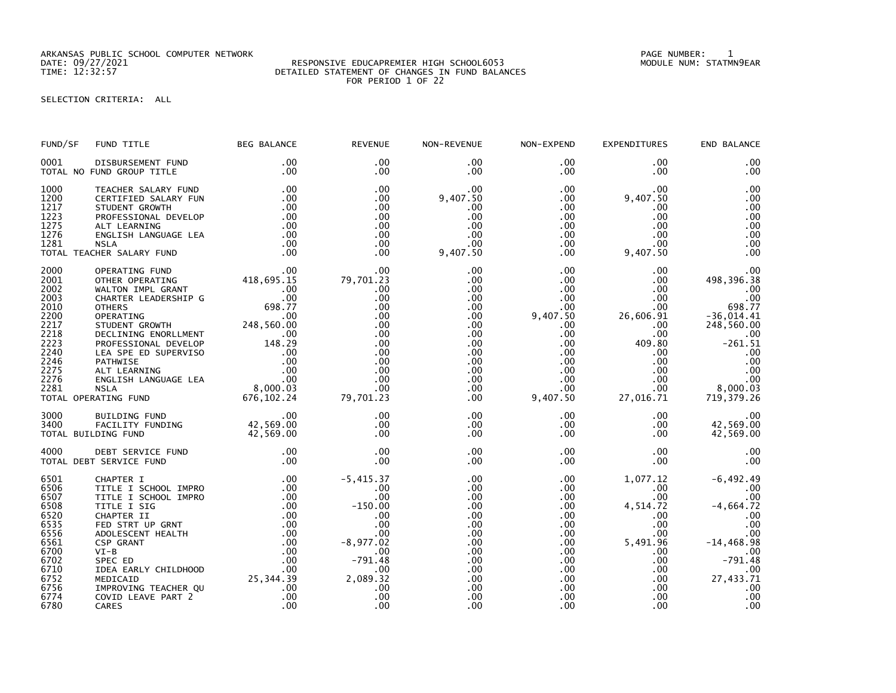ARKANSAS PUBLIC SCHOOL COMPUTER NETWORK PAGE NUMBER: 1

## RESPONSIVE EDUCAPREMIER HIGH SCHOOL6053 DETAILED STATEMENT OF CHANGES IN FUND BALANCES FOR PERIOD 1 OF 22

SELECTION CRITERIA: ALL

| FUND/SF                                                                                                              | FUND TITLE                                                                                                                                                                                                                                                                                        | <b>BEG BALANCE</b>                                                                                                                                                                                       | <b>REVENUE</b>                                                                                                                         | NON-REVENUE                                                                                           | NON-EXPEND                                                                                                                                                                  | EXPENDITURES                                                                                                                         | END BALANCE                                                                                                                                       |
|----------------------------------------------------------------------------------------------------------------------|---------------------------------------------------------------------------------------------------------------------------------------------------------------------------------------------------------------------------------------------------------------------------------------------------|----------------------------------------------------------------------------------------------------------------------------------------------------------------------------------------------------------|----------------------------------------------------------------------------------------------------------------------------------------|-------------------------------------------------------------------------------------------------------|-----------------------------------------------------------------------------------------------------------------------------------------------------------------------------|--------------------------------------------------------------------------------------------------------------------------------------|---------------------------------------------------------------------------------------------------------------------------------------------------|
| 0001                                                                                                                 | DISBURSEMENT FUND<br>TOTAL NO FUND GROUP TITLE                                                                                                                                                                                                                                                    | $.00 \,$<br>.00                                                                                                                                                                                          | $.00 \times$<br>$.00 \times$                                                                                                           | .00<br>.00                                                                                            | $.00 \,$<br>$.00 \,$                                                                                                                                                        | .00<br>.00.                                                                                                                          | .00<br>.00                                                                                                                                        |
| 1000<br>1200<br>1217<br>1223<br>1275<br>1276<br>1281                                                                 | TEACHER SALARY FUND<br>CERTIFIED SALARY FUN<br>STUDENT GROWTH<br>PROFESSIONAL DEVELOP<br>ALT LEARNING<br>ENGLISH LANGUAGE LEA<br><b>NSLA</b><br>TOTAL TEACHER SALARY FUND                                                                                                                         | .00<br>.00<br>.00<br>.00<br>.00<br>.00<br>.00<br>.00                                                                                                                                                     | .00<br>.00<br>.00<br>.00<br>.00<br>.00<br>.00<br>.00                                                                                   | .00<br>9,407.50<br>.00<br>.00<br>.00<br>.00<br>.00<br>9,407.50                                        | $.00 \,$<br>.00<br>$.00 \,$<br>$.00 \,$<br>$.00 \,$<br>$.00 \,$<br>$.00 \,$<br>$.00 \,$                                                                                     | .00<br>9,407.50<br>.00<br>.00<br>.00<br>.00<br>.00<br>9,407.50                                                                       | .00<br>.00<br>.00<br>.00<br>.00<br>.00<br>.00<br>.00                                                                                              |
| 2000<br>2001<br>2002<br>2003<br>2010<br>2200<br>2217<br>2218<br>2223<br>2240<br>2246<br>2275<br>2276<br>2281         | OPERATING FUND<br>OTHER OPERATING<br>WALTON IMPL GRANT<br>CHARTER LEADERSHIP G<br><b>OTHERS</b><br>OPERATING<br>STUDENT GROWTH<br>DECLINING ENORLLMENT<br>PROFESSIONAL DEVELOP<br>LEA SPE ED SUPERVISO<br>PATHWISE<br>ALT LEARNING<br>ENGLISH LANGUAGE LEA<br><b>NSLA</b><br>TOTAL OPERATING FUND | $418,695.\overline{15}$<br>00.<br>.00<br>698.77<br>.00<br>248,560.00<br>.00<br>148.29<br>$\begin{array}{c} 148 \\ .0 \\ .00 \\ .00 \\ .000 \end{array}$<br>$8,000.\tilde{0}3$<br>$102.24$<br>676, 102.24 | .00<br>79,701.23<br>.00<br>.00<br>.00<br>.00<br>.00<br>.00<br>.00<br>.00<br>.00<br>.00<br>.00<br>.00<br>79,701.23                      | .00<br>.00<br>.00<br>.00<br>.00<br>.00<br>.00<br>.00<br>.00<br>.00<br>.00<br>.00<br>.00<br>.00<br>.00 | .00 <sub>1</sub><br>.00<br>.00<br>$.00 \,$<br>.00<br>9,407.50<br>$.00 \,$<br>$.00 \,$<br>.00<br>.00 <sub>1</sub><br>$.00 \,$<br>$.00 \times$<br>$.00 \,$<br>.00<br>9,407.50 | $.00 \,$<br>.00<br>.00<br>$.00 \,$<br>.00<br>26,606.91<br>.00<br>.00<br>409.80<br>.00<br>$.00 \,$<br>.00<br>.00<br>.00.<br>27,016.71 | .00<br>498,396.38<br>.00<br>.00<br>698.77<br>$-36,014.41$<br>248,560.00<br>.00<br>$-261.51$<br>.00<br>.00<br>.00<br>.00<br>8,000.03<br>719,379.26 |
| 3000<br>3400                                                                                                         | BUILDING FUND<br>FACILITY FUNDING<br>TOTAL BUILDING FUND                                                                                                                                                                                                                                          | .00<br>42,569.00<br>42,569.00                                                                                                                                                                            | .00<br>.00<br>.00                                                                                                                      | .00<br>.00<br>.00                                                                                     | $.00 \,$<br>$.00 \,$<br>$.00 \,$                                                                                                                                            | .00<br>$.00 \,$<br>.00                                                                                                               | .00<br>42,569.00<br>42,569.00                                                                                                                     |
| 4000                                                                                                                 | DEBT SERVICE FUND<br>TOTAL DEBT SERVICE FUND                                                                                                                                                                                                                                                      | .00<br>.00                                                                                                                                                                                               | .00<br>.00                                                                                                                             | .00<br>.00                                                                                            | $.00 \,$<br>$.00 \,$                                                                                                                                                        | .00<br>.00                                                                                                                           | .00<br>.00                                                                                                                                        |
| 6501<br>6506<br>6507<br>6508<br>6520<br>6535<br>6556<br>6561<br>6700<br>6702<br>6710<br>6752<br>6756<br>6774<br>6780 | CHAPTER I<br>TITLE I SCHOOL IMPRO<br>TITLE I SCHOOL IMPRO<br>TITLE I SIG<br>CHAPTER II<br>FED STRT UP GRNT<br>ADOLESCENT HEALTH<br><b>CSP GRANT</b><br>$VI-B$<br>SPEC ED<br>IDEA EARLY CHILDHOOD<br>MEDICAID<br>IMPROVING TEACHER QU<br>COVID LEAVE PART 2<br>CARES                               | .00<br>.00<br>.00<br>.00<br>.00<br>.00<br>.00<br>.00<br>.00<br>.00<br>.00<br>25, 344.39<br>.00<br>.00<br>.00                                                                                             | $-5,415.37$<br>.00<br>.00<br>$-150.00$<br>.00<br>.00<br>.00<br>$-8,977.02$<br>.00<br>$-791.48$<br>.00<br>2,089.32<br>.00<br>.00<br>.00 | .00<br>.00<br>.00<br>.00<br>.00<br>.00<br>.00<br>.00<br>.00<br>.00<br>.00<br>.00<br>.00<br>.00<br>.00 | $.00 \,$<br>$.00 \,$<br>.00<br>$.00 \,$<br>.00<br>$.00 \,$<br>.00<br>$.00 \,$<br>$.00 \,$<br>.00 <sub>1</sub><br>$.00 \,$<br>.00<br>.00<br>$.00 \,$<br>.00                  | 1,077.12<br>.00.<br>.00<br>4,514.72<br>$.00 \,$<br>.00<br>.00<br>5,491.96<br>.00.<br>.00<br>.00<br>.00<br>.00.<br>.00<br>.00         | $-6, 492.49$<br>.00<br>.00<br>$-4,664.72$<br>.00<br>.00<br>.00<br>$-14, 468.98$<br>.00<br>$-791.48$<br>.00<br>27,433.71<br>.00<br>.00<br>.00      |